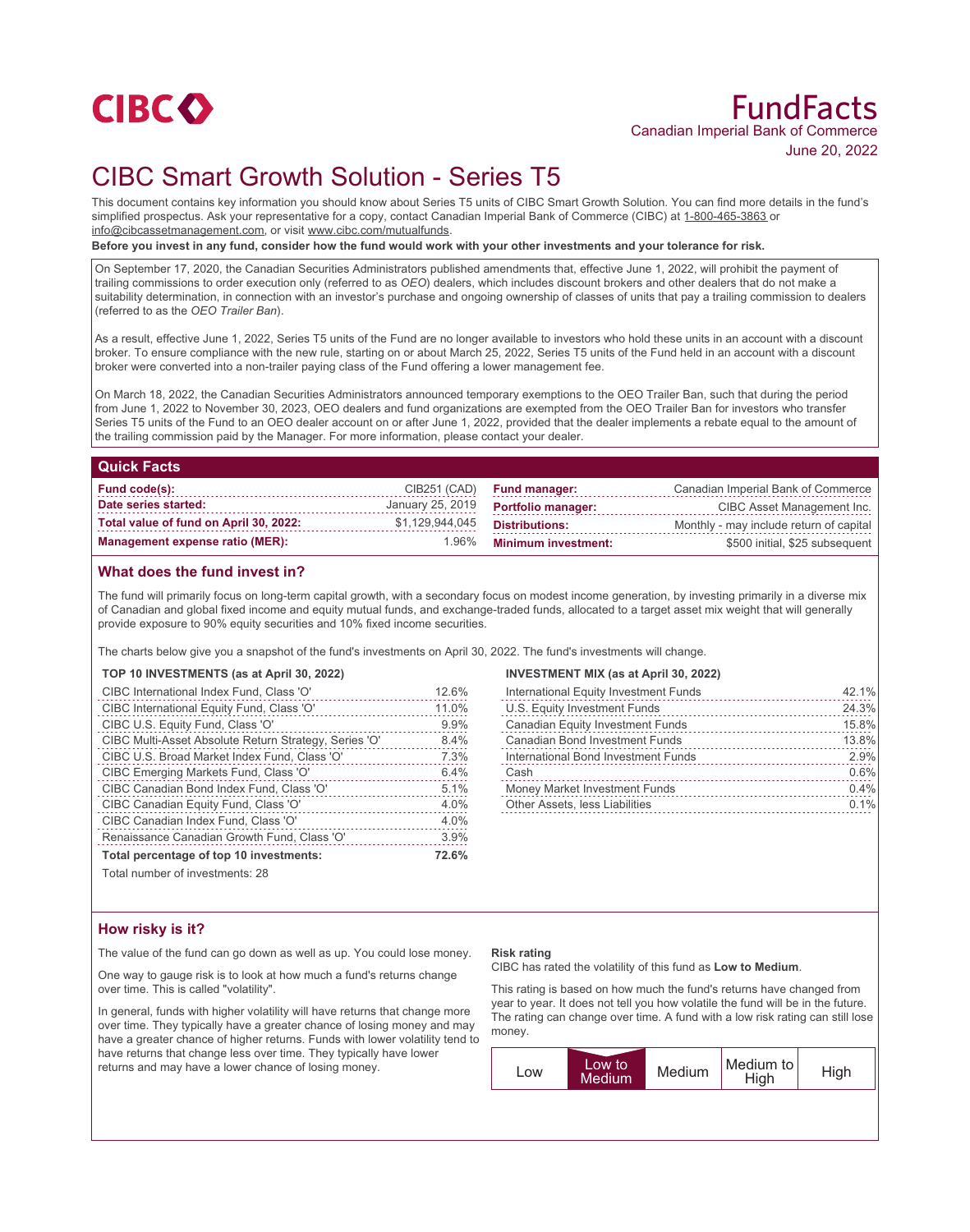

# FundFacts Canadian Imperial Bank of Commerce June 20, 2022

# CIBC Smart Growth Solution - Series T5

This document contains key information you should know about Series T5 units of CIBC Smart Growth Solution. You can find more details in the fund's simplified prospectus. Ask your representative for a copy, contact Canadian Imperial Bank of Commerce (CIBC) at 1-800-465-3863 or info@cibcassetmanagement.com, or visit www.cibc.com/mutualfunds.

**Before you invest in any fund, consider how the fund would work with your other investments and your tolerance for risk.**

On September 17, 2020, the Canadian Securities Administrators published amendments that, effective June 1, 2022, will prohibit the payment of trailing commissions to order execution only (referred to as *OEO*) dealers, which includes discount brokers and other dealers that do not make a suitability determination, in connection with an investor's purchase and ongoing ownership of classes of units that pay a trailing commission to dealers (referred to as the *OEO Trailer Ban*).

As a result, effective June 1, 2022, Series T5 units of the Fund are no longer available to investors who hold these units in an account with a discount broker. To ensure compliance with the new rule, starting on or about March 25, 2022, Series T5 units of the Fund held in an account with a discount broker were converted into a non-trailer paying class of the Fund offering a lower management fee.

On March 18, 2022, the Canadian Securities Administrators announced temporary exemptions to the OEO Trailer Ban, such that during the period from June 1, 2022 to November 30, 2023, OEO dealers and fund organizations are exempted from the OEO Trailer Ban for investors who transfer Series T5 units of the Fund to an OEO dealer account on or after June 1, 2022, provided that the dealer implements a rebate equal to the amount of the trailing commission paid by the Manager. For more information, please contact your dealer.

| <b>Quick Facts</b>                     |                  |                            |                                         |
|----------------------------------------|------------------|----------------------------|-----------------------------------------|
| Fund code(s):                          | CIB251 (CAD)     | <b>Fund manager:</b>       | Canadian Imperial Bank of Commerce      |
| Date series started:                   | January 25, 2019 | <b>Portfolio manager:</b>  | CIBC Asset Management Inc.              |
| Total value of fund on April 30, 2022: | \$1,129,944,045  | Distributions:             | Monthly - may include return of capital |
| <b>Management expense ratio (MER):</b> | 1.96%            | <b>Minimum investment:</b> | \$500 initial, \$25 subsequent          |

## **What does the fund invest in?**

The fund will primarily focus on long-term capital growth, with a secondary focus on modest income generation, by investing primarily in a diverse mix of Canadian and global fixed income and equity mutual funds, and exchange-traded funds, allocated to a target asset mix weight that will generally provide exposure to 90% equity securities and 10% fixed income securities.

The charts below give you a snapshot of the fund's investments on April 30, 2022. The fund's investments will change.

### **TOP 10 INVESTMENTS (as at April 30, 2022)**

| CIBC International Index Fund, Class 'O'              | 12.6% |
|-------------------------------------------------------|-------|
| CIBC International Equity Fund, Class 'O'             | 11.0% |
| CIBC U.S. Equity Fund, Class 'O'                      | 9.9%  |
| CIBC Multi-Asset Absolute Return Strategy, Series 'O' | 8.4%  |
| CIBC U.S. Broad Market Index Fund, Class 'O'          | 7.3%  |
| CIBC Emerging Markets Fund, Class 'O'                 | 6.4%  |
| CIBC Canadian Bond Index Fund, Class 'O'              | 5.1%  |
| CIBC Canadian Equity Fund, Class 'O'                  | 4.0%  |
| CIBC Canadian Index Fund, Class 'O'                   | 4.0%  |
| Renaissance Canadian Growth Fund, Class 'O'           | 3.9%  |
| Total percentage of top 10 investments:               | 72.6% |
| Total number of investments: 28                       |       |

#### **INVESTMENT MIX (as at April 30, 2022)**

| International Equity Investment Funds   | 42.1% |
|-----------------------------------------|-------|
| U.S. Equity Investment Funds            | 24.3% |
| <b>Canadian Equity Investment Funds</b> | 15.8% |
| <b>Canadian Bond Investment Funds</b>   | 13.8% |
| International Bond Investment Funds     | 2.9%  |
| Cash                                    | 0.6%  |
| Money Market Investment Funds           | 0.4%  |
| Other Assets, less Liabilities          | 0.1%  |
|                                         |       |

**How risky is it?**

The value of the fund can go down as well as up. You could lose money.

One way to gauge risk is to look at how much a fund's returns change over time. This is called "volatility".

In general, funds with higher volatility will have returns that change more over time. They typically have a greater chance of losing money and may have a greater chance of higher returns. Funds with lower volatility tend to have returns that change less over time. They typically have lower returns and may have a lower chance of losing money.

### **Risk rating**

CIBC has rated the volatility of this fund as **Low to Medium**.

This rating is based on how much the fund's returns have changed from year to year. It does not tell you how volatile the fund will be in the future. The rating can change over time. A fund with a low risk rating can still lose money.

| Low to<br>_OW<br><b>Medium</b> | Medium | Medium to<br>High | High |
|--------------------------------|--------|-------------------|------|
|--------------------------------|--------|-------------------|------|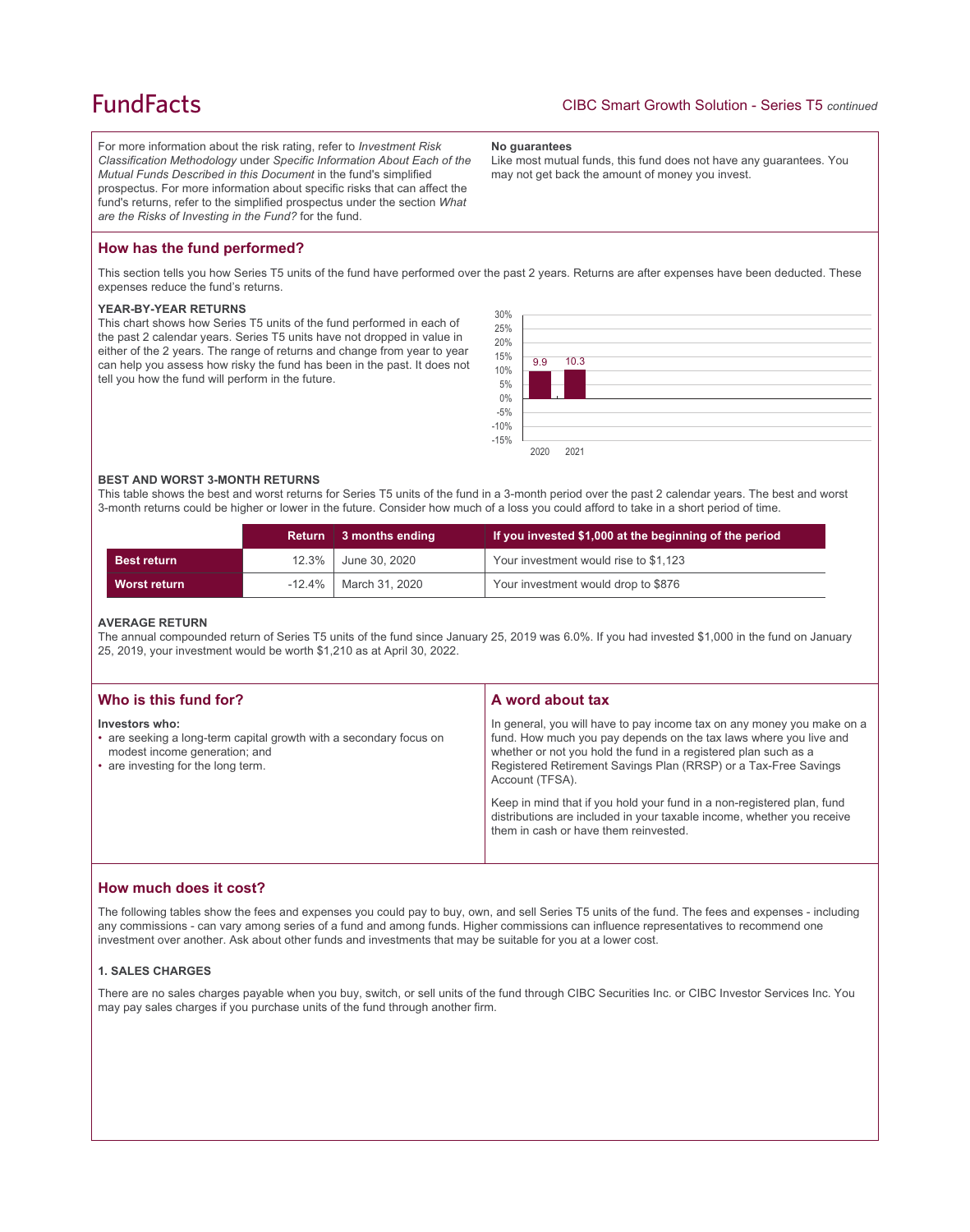# **FundFacts**

For more information about the risk rating, refer to *Investment Risk Classification Methodology* under *Specific Information About Each of the Mutual Funds Described in this Document* in the fund's simplified prospectus. For more information about specific risks that can affect the fund's returns, refer to the simplified prospectus under the section *What are the Risks of Investing in the Fund?* for the fund.

#### **No guarantees**

Like most mutual funds, this fund does not have any guarantees. You may not get back the amount of money you invest.

## **How has the fund performed?**

This section tells you how Series T5 units of the fund have performed over the past 2 years. Returns are after expenses have been deducted. These expenses reduce the fund's returns.

## **YEAR-BY-YEAR RETURNS**

This chart shows how Series T5 units of the fund performed in each of the past 2 calendar years. Series T5 units have not dropped in value in either of the 2 years. The range of returns and change from year to year can help you assess how risky the fund has been in the past. It does not tell you how the fund will perform in the future.



### **BEST AND WORST 3-MONTH RETURNS**

This table shows the best and worst returns for Series T5 units of the fund in a 3-month period over the past 2 calendar years. The best and worst 3-month returns could be higher or lower in the future. Consider how much of a loss you could afford to take in a short period of time.

|                     |          | Return 3 months ending     | If you invested \$1,000 at the beginning of the period |
|---------------------|----------|----------------------------|--------------------------------------------------------|
| <b>Best return</b>  | $12.3\%$ | June 30, 2020              | Your investment would rise to \$1,123                  |
| <b>Worst return</b> |          | $-12.4\%$   March 31, 2020 | Your investment would drop to \$876                    |

#### **AVERAGE RETURN**

The annual compounded return of Series T5 units of the fund since January 25, 2019 was 6.0%. If you had invested \$1,000 in the fund on January 25, 2019, your investment would be worth \$1,210 as at April 30, 2022.

| Who is this fund for?                                                                                                                                       | A word about tax                                                                                                                                                                                                                                                                                     |
|-------------------------------------------------------------------------------------------------------------------------------------------------------------|------------------------------------------------------------------------------------------------------------------------------------------------------------------------------------------------------------------------------------------------------------------------------------------------------|
| Investors who:<br>• are seeking a long-term capital growth with a secondary focus on<br>modest income generation; and<br>• are investing for the long term. | In general, you will have to pay income tax on any money you make on a<br>fund. How much you pay depends on the tax laws where you live and<br>whether or not you hold the fund in a registered plan such as a<br>Registered Retirement Savings Plan (RRSP) or a Tax-Free Savings<br>Account (TFSA). |
|                                                                                                                                                             | Keep in mind that if you hold your fund in a non-registered plan, fund<br>distributions are included in your taxable income, whether you receive<br>them in cash or have them reinvested.                                                                                                            |

## **How much does it cost?**

The following tables show the fees and expenses you could pay to buy, own, and sell Series T5 units of the fund. The fees and expenses - including any commissions - can vary among series of a fund and among funds. Higher commissions can influence representatives to recommend one investment over another. Ask about other funds and investments that may be suitable for you at a lower cost.

## **1. SALES CHARGES**

There are no sales charges payable when you buy, switch, or sell units of the fund through CIBC Securities Inc. or CIBC Investor Services Inc. You may pay sales charges if you purchase units of the fund through another firm.